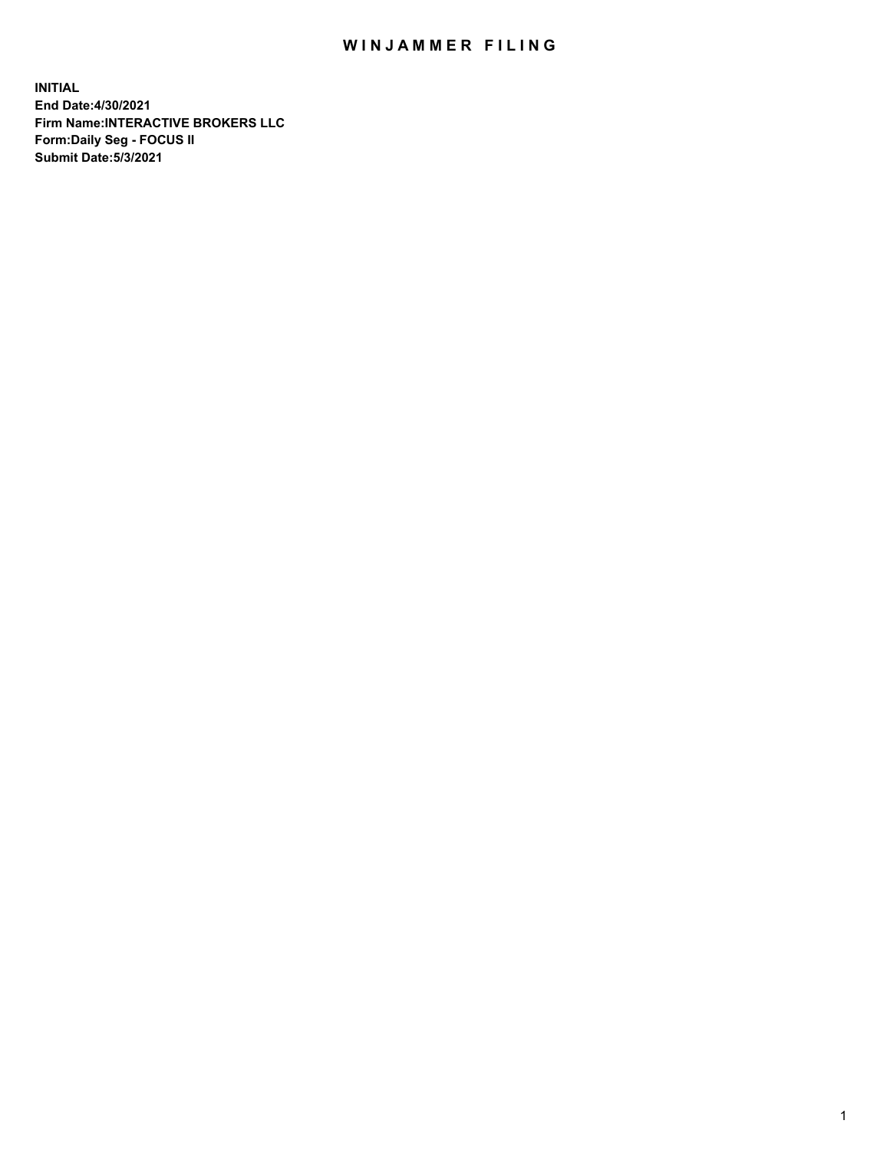## WIN JAMMER FILING

**INITIAL End Date:4/30/2021 Firm Name:INTERACTIVE BROKERS LLC Form:Daily Seg - FOCUS II Submit Date:5/3/2021**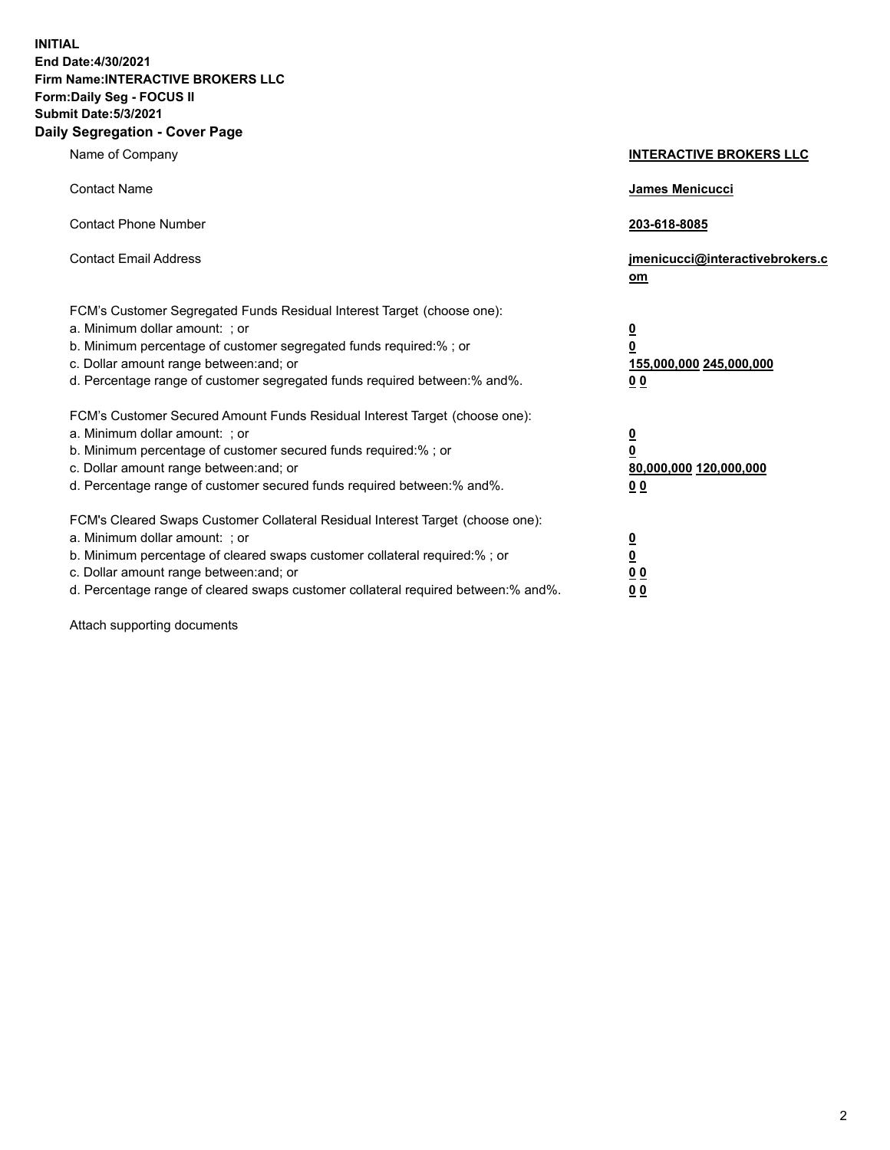**INITIAL End Date:4/30/2021 Firm Name:INTERACTIVE BROKERS LLC Form:Daily Seg - FOCUS II Submit Date:5/3/2021 Daily Segregation - Cover Page**

| Name of Company                                                                                                                                                                                                                                                                                                                | <b>INTERACTIVE BROKERS LLC</b>                                                                  |
|--------------------------------------------------------------------------------------------------------------------------------------------------------------------------------------------------------------------------------------------------------------------------------------------------------------------------------|-------------------------------------------------------------------------------------------------|
| <b>Contact Name</b>                                                                                                                                                                                                                                                                                                            | <b>James Menicucci</b>                                                                          |
| <b>Contact Phone Number</b>                                                                                                                                                                                                                                                                                                    | 203-618-8085                                                                                    |
| <b>Contact Email Address</b>                                                                                                                                                                                                                                                                                                   | jmenicucci@interactivebrokers.c<br>om                                                           |
| FCM's Customer Segregated Funds Residual Interest Target (choose one):<br>a. Minimum dollar amount: ; or<br>b. Minimum percentage of customer segregated funds required:%; or<br>c. Dollar amount range between: and; or<br>d. Percentage range of customer segregated funds required between:% and%.                          | $\overline{\mathbf{0}}$<br>$\overline{\mathbf{0}}$<br>155,000,000 245,000,000<br>0 <sub>0</sub> |
| FCM's Customer Secured Amount Funds Residual Interest Target (choose one):<br>a. Minimum dollar amount: ; or<br>b. Minimum percentage of customer secured funds required:%; or<br>c. Dollar amount range between: and; or<br>d. Percentage range of customer secured funds required between:% and%.                            | $\overline{\mathbf{0}}$<br>$\overline{\mathbf{0}}$<br>80,000,000 120,000,000<br>0 <sub>0</sub>  |
| FCM's Cleared Swaps Customer Collateral Residual Interest Target (choose one):<br>a. Minimum dollar amount: ; or<br>b. Minimum percentage of cleared swaps customer collateral required:% ; or<br>c. Dollar amount range between: and; or<br>d. Percentage range of cleared swaps customer collateral required between:% and%. | $\overline{\mathbf{0}}$<br>$\overline{\mathbf{0}}$<br>0 <sub>0</sub><br>0 <sub>0</sub>          |

Attach supporting documents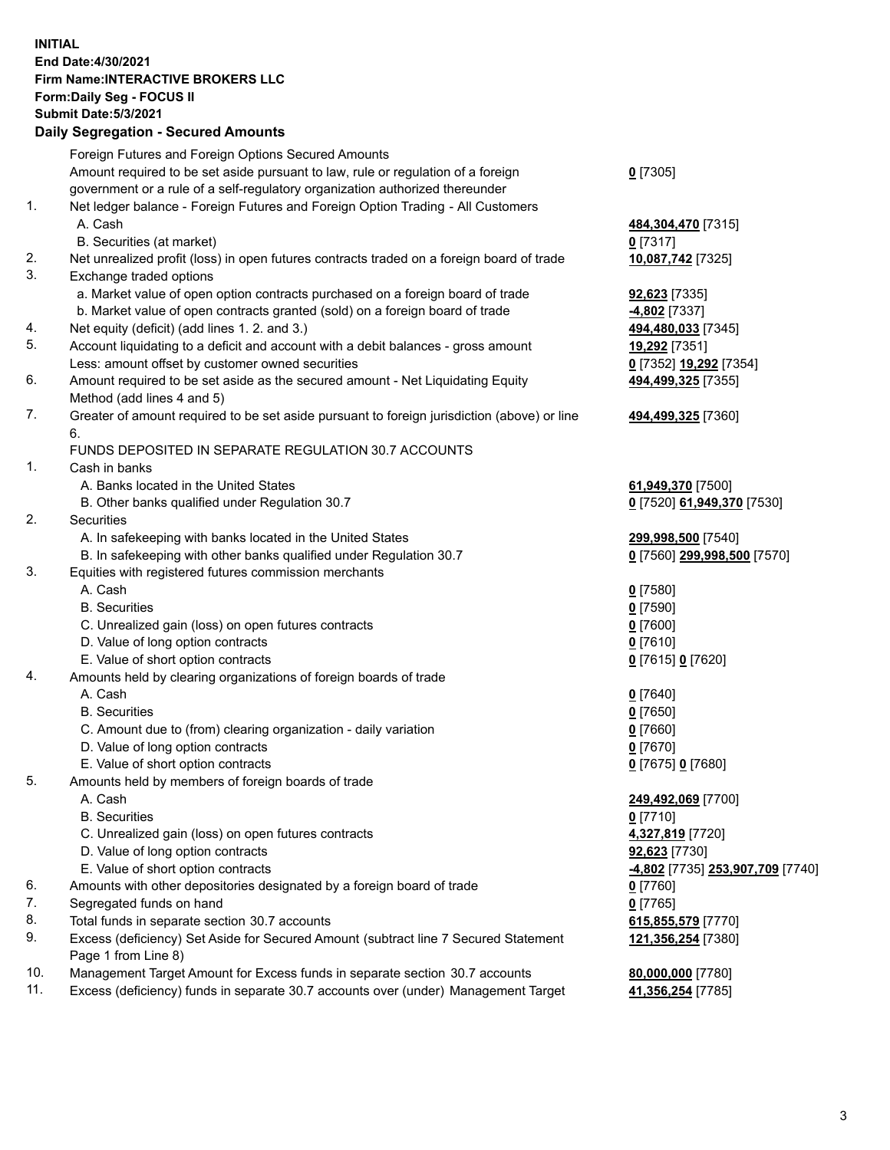**INITIAL End Date:4/30/2021 Firm Name:INTERACTIVE BROKERS LLC Form:Daily Seg - FOCUS II Submit Date:5/3/2021 Daily Segregation - Secured Amounts**

|     | Foreign Futures and Foreign Options Secured Amounts                                         |                                               |
|-----|---------------------------------------------------------------------------------------------|-----------------------------------------------|
|     | Amount required to be set aside pursuant to law, rule or regulation of a foreign            | $Q$ [7305]                                    |
|     | government or a rule of a self-regulatory organization authorized thereunder                |                                               |
| 1.  | Net ledger balance - Foreign Futures and Foreign Option Trading - All Customers             |                                               |
|     | A. Cash                                                                                     | 484,304,470 [7315]                            |
|     | B. Securities (at market)                                                                   | $0$ [7317]                                    |
| 2.  | Net unrealized profit (loss) in open futures contracts traded on a foreign board of trade   | 10,087,742 [7325]                             |
| 3.  | Exchange traded options                                                                     |                                               |
|     | a. Market value of open option contracts purchased on a foreign board of trade              | <b>92,623</b> [7335]                          |
|     | b. Market value of open contracts granted (sold) on a foreign board of trade                | <b>4,802</b> [7337]                           |
| 4.  | Net equity (deficit) (add lines 1. 2. and 3.)                                               | 494,480,033 [7345]                            |
| 5.  | Account liquidating to a deficit and account with a debit balances - gross amount           | 19,292 [7351]                                 |
|     | Less: amount offset by customer owned securities                                            | 0 [7352] 19,292 [7354]                        |
| 6.  | Amount required to be set aside as the secured amount - Net Liquidating Equity              | 494,499,325 [7355]                            |
|     | Method (add lines 4 and 5)                                                                  |                                               |
| 7.  | Greater of amount required to be set aside pursuant to foreign jurisdiction (above) or line | 494,499,325 [7360]                            |
|     | 6.                                                                                          |                                               |
|     | FUNDS DEPOSITED IN SEPARATE REGULATION 30.7 ACCOUNTS                                        |                                               |
| 1.  | Cash in banks                                                                               |                                               |
|     | A. Banks located in the United States                                                       | 61,949,370 [7500]                             |
|     | B. Other banks qualified under Regulation 30.7                                              | 0 [7520] 61,949,370 [7530]                    |
| 2.  | <b>Securities</b>                                                                           |                                               |
|     | A. In safekeeping with banks located in the United States                                   | 299,998,500 [7540]                            |
|     | B. In safekeeping with other banks qualified under Regulation 30.7                          | 0 [7560] 299,998,500 [7570]                   |
| 3.  | Equities with registered futures commission merchants                                       |                                               |
|     | A. Cash                                                                                     | $0$ [7580]                                    |
|     | <b>B.</b> Securities                                                                        | $0$ [7590]                                    |
|     | C. Unrealized gain (loss) on open futures contracts                                         | $0$ [7600]                                    |
|     | D. Value of long option contracts                                                           | $0$ [7610]                                    |
|     | E. Value of short option contracts                                                          | 0 [7615] 0 [7620]                             |
| 4.  | Amounts held by clearing organizations of foreign boards of trade                           |                                               |
|     | A. Cash                                                                                     | $0$ [7640]                                    |
|     | <b>B.</b> Securities                                                                        | $0$ [7650]                                    |
|     | C. Amount due to (from) clearing organization - daily variation                             | $0$ [7660]                                    |
|     | D. Value of long option contracts                                                           | $0$ [7670]                                    |
|     | E. Value of short option contracts                                                          | 0 [7675] 0 [7680]                             |
| 5.  | Amounts held by members of foreign boards of trade                                          |                                               |
|     | A. Cash                                                                                     | 249,492,069 [7700]                            |
|     | <b>B.</b> Securities                                                                        | $0$ [7710]                                    |
|     | C. Unrealized gain (loss) on open futures contracts                                         | 4,327,819 [7720]                              |
|     | D. Value of long option contracts                                                           | 92,623 [7730]                                 |
|     | E. Value of short option contracts                                                          | <mark>-4,802</mark> [7735] 253,907,709 [7740] |
| 6.  | Amounts with other depositories designated by a foreign board of trade                      | $0$ [7760]                                    |
| 7.  | Segregated funds on hand                                                                    | $0$ [7765]                                    |
| 8.  | Total funds in separate section 30.7 accounts                                               | 615,855,579 [7770]                            |
| 9.  | Excess (deficiency) Set Aside for Secured Amount (subtract line 7 Secured Statement         | 121,356,254 [7380]                            |
| 10. | Page 1 from Line 8)                                                                         |                                               |
| 11. | Management Target Amount for Excess funds in separate section 30.7 accounts                 | 80,000,000 [7780]                             |
|     | Excess (deficiency) funds in separate 30.7 accounts over (under) Management Target          | 41,356,254 [7785]                             |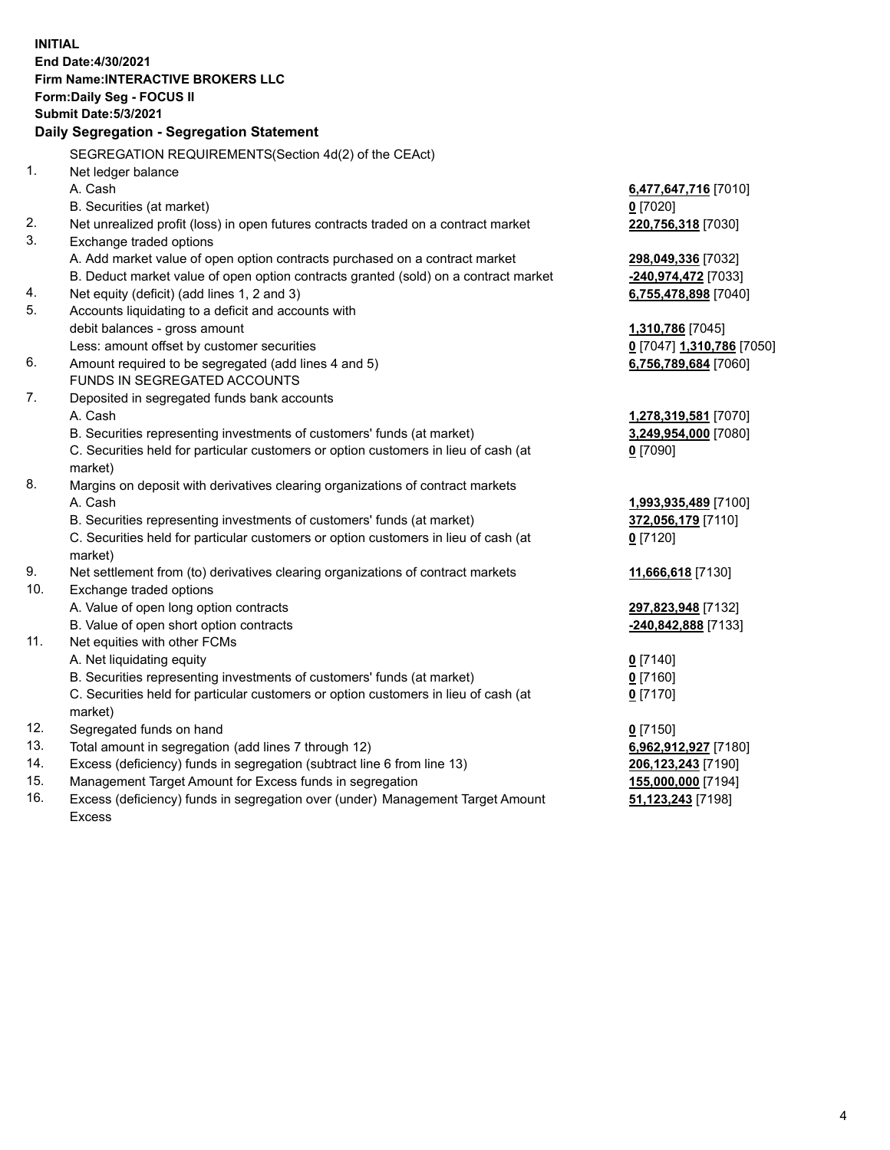**INITIAL End Date:4/30/2021 Firm Name:INTERACTIVE BROKERS LLC Form:Daily Seg - FOCUS II Submit Date:5/3/2021 Daily Segregation - Segregation Statement** SEGREGATION REQUIREMENTS(Section 4d(2) of the CEAct) 1. Net ledger balance A. Cash **6,477,647,716** [7010] B. Securities (at market) **0** [7020] 2. Net unrealized profit (loss) in open futures contracts traded on a contract market **220,756,318** [7030] 3. Exchange traded options A. Add market value of open option contracts purchased on a contract market **298,049,336** [7032] B. Deduct market value of open option contracts granted (sold) on a contract market **-240,974,472** [7033] 4. Net equity (deficit) (add lines 1, 2 and 3) **6,755,478,898** [7040] 5. Accounts liquidating to a deficit and accounts with debit balances - gross amount **1,310,786** [7045] Less: amount offset by customer securities **0** [7047] **1,310,786** [7050] 6. Amount required to be segregated (add lines 4 and 5) **6,756,789,684** [7060] FUNDS IN SEGREGATED ACCOUNTS 7. Deposited in segregated funds bank accounts A. Cash **1,278,319,581** [7070] B. Securities representing investments of customers' funds (at market) **3,249,954,000** [7080] C. Securities held for particular customers or option customers in lieu of cash (at market) **0** [7090] 8. Margins on deposit with derivatives clearing organizations of contract markets A. Cash **1,993,935,489** [7100] B. Securities representing investments of customers' funds (at market) **372,056,179** [7110] C. Securities held for particular customers or option customers in lieu of cash (at market) **0** [7120] 9. Net settlement from (to) derivatives clearing organizations of contract markets **11,666,618** [7130] 10. Exchange traded options A. Value of open long option contracts **297,823,948** [7132] B. Value of open short option contracts **-240,842,888** [7133] 11. Net equities with other FCMs A. Net liquidating equity **0** [7140] B. Securities representing investments of customers' funds (at market) **0** [7160] C. Securities held for particular customers or option customers in lieu of cash (at market) **0** [7170] 12. Segregated funds on hand **0** [7150] 13. Total amount in segregation (add lines 7 through 12) **6,962,912,927** [7180] 14. Excess (deficiency) funds in segregation (subtract line 6 from line 13) **206,123,243** [7190] 15. Management Target Amount for Excess funds in segregation **155,000,000** [7194] 16. Excess (deficiency) funds in segregation over (under) Management Target Amount **51,123,243** [7198]

Excess